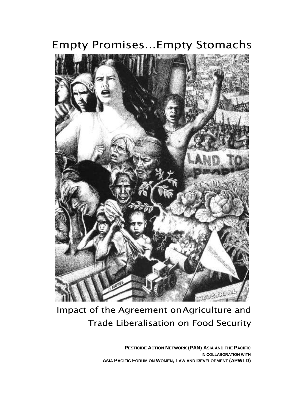# Empty Promises...Empty Stomachs



# Impact of the Agreement onAgriculture and Trade Liberalisation on Food Security

**PESTICIDE ACTION NETWORK (PAN) ASIA AND THE PACIFIC IN COLLABORATION WITH ASIA PACIFIC FORUM ON WOMEN, LAW AND DEVELOPMENT (APWLD)**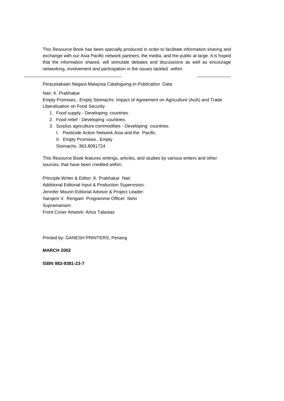This Resource Book has been specially produced in order to facilitate information sharing and exchange with our Asia Pacific network partners, the media, and the public at large. It is hoped that the information shared, will stimulate debates and discussions as well as encourage networking, involvement and participation in the issues tackled within.

Perpustakaan Negara Malaysia Cataloguing-in-Publication Data

Nair, K. Prabhakar

Empty Promises...Empty Stomachs: Impact of Agreement on Agriculture (AoA) and Trade Liberalisation on Food Security

- 1. Food supply Developing countries.
- 2. Food relief Developing countries.
- 3. Surplus agriculture commodities Developing countries.
	- I. Pesticide Action Network Asia and the Pacific.
	- II. Empty Promises...Empty

Stomachs. 363.8091724

This Resource Book features writings, articles, and studies by various writers and other sources, that have been credited within.

Principle Writer & Editor: K. Prabhakar Nair Additional Editorial Input & Production Supervision: Jennifer Mourin Editorial Advisor & Project Leader: Sarojeni V. Rengam Programme Officer: Selvi Supramaniam Front Cover Artwork: Artus Talastas

Printed by: GANESH PRINTERS, Penang

**MARCH 2002**

**ISBN 983-9381-23-7**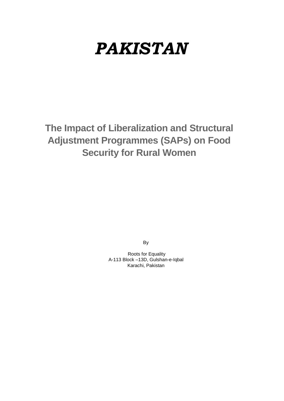# *PAKISTAN*

**The Impact of Liberalization and Structural Adjustment Programmes (SAPs) on Food Security for Rural Women**

By

Roots for Equality A-113 Block –13D, Gulshan-e-Iqbal Karachi, Pakistan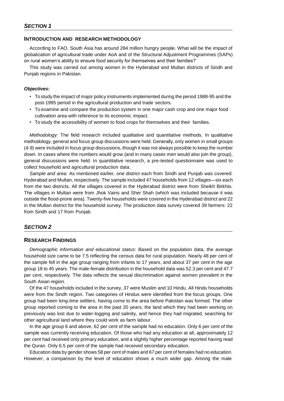# **INTRODUCTION AND RESEARCH METHODOLOGY**

According to FAO, South Asia has around 284 million hungry people. What will be the impact of globalization of agricultural trade under AoA and of the Structural Adjustment Programmes (SAPs) on rural women's ability to ensure food security for themselves and their families?

This study was carried out among women in the Hyderabad and Multan districts of Sindh and Punjab regions in Pakistan.

#### *Objectives:*

- To study the impact of major policy instruments implemented during the period 1988-95 and the post-1995 period in the agricultural production and trade sectors.
- To examine and compare the production system in one major cash crop and one major food cultivation area with reference to its economic impact.
- To study the accessibility of women to food crops for themselves and their families.

*Methodology:* The field research included qualitative and quantitative methods. In qualitative methodology, general and focus group discussions were held. Generally, only women in small groups (4-9) were included in focus group discussions, though it was not always possible to keep the number down. In cases where the numbers would grow (and in many cases men would also join the group), general discussions were held. In quantitative research, a pre-tested questionnaire was used to collect household and agricultural production data.

*Sample and area:* As mentioned earlier*,* one district each from Sindh and Punjab was covered: Hyderabad and Multan, respectively. The sample included 47 households from 12 villages—six each from the two districts. All the villages covered in the Hyderabad district were from Sheikh Birkhio. The villages in Multan were from Jhok Vains and Sher Shah (which was included because it was outside the flood-prone area). Twenty-five households were covered in the Hyderabad district and 22 in the Multan district for the household survey. The production data survey covered 39 farmers: 22 from Sindh and 17 from Punjab.

# *SECTION 2*

# **RESEARCH FINDINGS**

*Demographic information and educational status:* Based on the population data, the average household size came to be 7.5 reflecting the census data for rural population. Nearly 48 per cent of the sample fell in the age group ranging from infants to 17 years, and about 37 per cent in the age group 18 to 45 years. The male-female distribution in the household data was 52.3 per cent and 47.7 per cent, respectively. The data reflects the sexual discrimination against women prevalent in the South Asian region.

Of the 47 households included in the survey, 37 were Muslim and 10 Hindu. All Hindu households were from the Sindh region. Two categories of Hindus were identified from the focus groups. One group had been long-time settlers, having come to the area before Pakistan was formed. The other group reported coming to the area in the past 20 years; the land which they had been working on previously was lost due to water-logging and salinity, and hence they had migrated, searching for other agricultural land where they could work as farm labour.

In the age group 6 and above, 62 per cent of the sample had no education. Only 6 per cent of the sample was currently receiving education. Of those who had any education at all, approximately 12 per cent had received only primary education, and a slightly higher percentage reported having read the Quran. Only 6.5 per cent of the sample had received secondary education.

Education data by gender shows 58 per cent of males and 67 per cent of females had no education. However, a comparison by the level of education shows a much wider gap. Among the male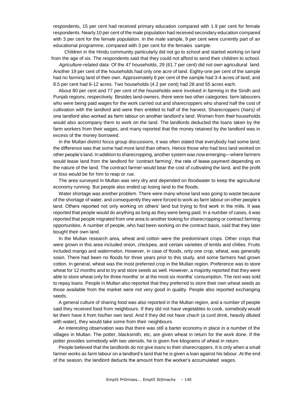respondents, 15 per cent had received primary education compared with 1.9 per cent for female respondents. Nearly 10 per cent of the male population had received secondary education compared with 3 per cent for the female population. In the male sample, 9 per cent were currently part of an educational programme, compared with 3 per cent for the females sample.

Children in the Hindu community particularly did not go to school and started working on land from the age of six. The respondents said that they could not afford to send their children to school.

*Agriculture-related data:* Of the 47 households, 29 (61.7 per cent) did not own agricultural land. Another 19 per cent of the households had only one acre of land. Eighty-one per cent of the sample had no farming land of their own. Approximately 6 per cent of the sample had 3-4 acres of land, and 8.5 per cent had 6-12 acres. Two households (4.2 per cent) had 28 and 55 acres each.

About 80 per cent and 77 per cent of the households were involved in farming in the Sindh and Punjab regions, respectively. Besides land-owners, there were two other categories: farm labourers who were being paid wages for the work carried out and sharecroppers who shared half the cost of cultivation with the landlord and were then entitled to half of the harvest. Sharecroppers (*hairs)* of one landlord also worked as farm labour on another landlord's land. Women from their households would also accompany them to work on the land. The landlords deducted the loans taken by the farm workers from their wages, and many reported that the money retained by the landlord was in excess of the money borrowed.

In the Multan district focus group discussions, it was often stated that everybody had some land; the difference was that some had more land than others. Hence those who had less land worked on other people's land. In addition to sharecropping, another system was now emerging—where farmers would lease land from the landlord for 'contract farming', the rate of lease payment depending on the nature of the land. The contract farmer would bear the cost of cultivating the land, and the profit or loss would be for him to reap or rue.

The area surveyed in Multan was very dry and depended on floodwater to keep the agricultural economy running. But people also ended up losing land to the floods.

Water shortage was another problem. There were many whose land was going to waste because of the shortage of water, and consequently they were forced to work as farm labour on other people's land. Others reported not only working on others' land but trying to find work in the mills. It was reported that people would do anything as long as they were being paid. In a number of cases, it was reported that people migrated from one area to another looking for sharecropping or contract farming opportunities. A number of people, who had been working on the contract basis, said that they later bought their own land.

In the Multan research area, wheat and cotton were the predominant crops. Other crops that were grown in this area included onion, chickpea, and certain varieties of lentils and chilies. Fruits included mango and watermelon. However, in case of floods, only one crop, wheat, was generally sown. There had been no floods for three years prior to this study, and some farmers had grown cotton. In general, wheat was the most preferred crop in the Multan region. Preference was to store wheat for 12 months and to try and store seeds as well. However, a majority reported that they were able to store wheat only for three months' or at the most six months' consumption. The rest was sold to repay loans. People in Multan also reported that they preferred to store their own wheat seeds as those available from the market were not very good in quality. People also reported exchanging seeds.

A general culture of sharing food was also reported in the Multan region, and a number of people said they received food from neighbours. If they did not have vegetables to cook, somebody would let them have it from his/her own land. And if they did not have *chach* (a curd drink, heavily diluted with water), they would take some from their neighbours.

An interesting observation was that there was still a barter economy in place in a number of the villages in Multan. The potter, blacksmith, etc, are given wheat in return for the work done. If the potter provides somebody with two utensils, he is given five kilograms of wheat in return.

People believed that the landlords do not give loans to their sharecroppers. It is only when a small farmer works as farm labour on a landlord's land that he is given a loan against his labour. At the end of the season, the landlord deducts the amount from the worker's accumulated wages.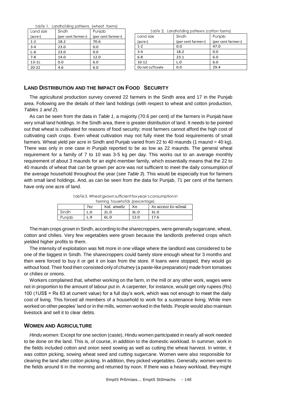†abTe 1. LandhoTding pattexns (wheat faxms)

| Land size | Sindh             | Punjab            |
|-----------|-------------------|-------------------|
| (acre)    | (per cent farmer) | (per cent farmer) |
| $1 - 2$   | 18.2              | 70.6              |
| $3 - 4$   | 23.0              | 0.0               |
| $L-6$     | 23.0              | 0.0               |
| $7 - 8$   | 14.0              | 12.0              |
| $13 - 11$ | 0.0               | 6.0               |
| $20 - 22$ | 4.6               | 6.0               |

| LANIC Z. LAHAHUIDHIN DAHCAHS (COHOH IJANHS) |                   |                   |  |
|---------------------------------------------|-------------------|-------------------|--|
| Land size                                   | Sindh             | Punjab            |  |
| (acre)                                      | (per cent farmer) | (per cent farmer) |  |
| $1 - 2$                                     | 0.0               | 47.0              |  |
| $3 - 4$                                     | 18.2              | 0.0               |  |
| $6 - 8$                                     | 23.1              | 6.0               |  |
| $10 - 12$                                   | L.O               | 6.0               |  |
| Do not cuTtivate                            | 0.0               | 29.4              |  |

 $\Gamma$  abTe  $\Omega$ . Landhofding patterns (cotton factor faxmed)

# **LAND DISTRIBUTION AND THE IMPACT ON FOOD SECURITY**

The agricultural production survey covered 22 farmers in the Sindh area and 17 in the Punjab area. Following are the details of their land holdings (with respect to wheat and cotton production, *Tables 1 and 2*).

As can be seen from the data in *Table 1*, a majority (70.6 per cent) of the farmers in Punjab have very small land holdings. In the Sindh area, there is greater distribution of land. It needs to be pointed out that wheat is cultivated for reasons of food security; most farmers cannot afford the high cost of cultivating cash crops. Even wheat cultivation may not fully meet the food requirements of small farmers. Wheat yield per acre in Sindh and Punjab varied from 22 to 40 maunds (1 maund = 40 kg). There was only in one case in Punjab reported to be as low as 22 maunds. The general wheat requirement for a family of 7 to 10 was 3-5 kg per day. This works out to an average monthly requirement of about 3 maunds for an eight-member family, which essentially means that the 22 to 40 maunds of wheat that can be grown per acre was not sufficient to meet the daily consumption of the average household throughout the year (*see Table 3*). This would be especially true for farmers with small land holdings. And, as can be seen from the data for Punjab, 71 per cent of the farmers have only one acre of land.

†abTe3. Wheatgxownsufficientfoxyeax'sconsumptionin faxming househoTds (pexcentage)

|        | 7ez | Xo£ a/wa5z | Xo   | Xo accezz £o w2ea£ |
|--------|-----|------------|------|--------------------|
| Sindh  | L.O | 2L.0       | 3L.0 | 3L.0               |
| Puniab | L.9 | 6L.0       | 12.C | 17.6               |

The main crops grown in Sindh, according to the sharecroppers, were generally sugarcane, wheat, cotton and chilies. Very few vegetables were grown because the landlords preferred crops which yielded higher profits to them.

The intensity of exploitation was felt more in one village where the landlord was considered to be one of the biggest in Sindh. The sharecroppers could barely store enough wheat for 3 months and then were forced to buy it or get it on loan from the store. If loans were stopped, they would go without food. Their food then consisted only of *chutney* (a paste-like preparation*)* made from tomatoes or chilies or onions.

Workers complained that, whether working on the farm, in the mill or any other work, wages were not in proportion to the amount of labour put in. A carpenter, for instance, would get only rupees (Rs) 100 (1US\$ = Rs 63 at current value) for a full day's work, which was not enough to meet the daily cost of living. This forced all members of a household to work for a sustenance living. While men worked on other peoples' land or in the mills, women worked in the fields. People would also maintain livestock and sell it to clear debts.

# **WOMEN AND AGRICULTURE**

*Hindu women:* Except for one section (caste), Hindu women participated in nearly all work needed to be done on the land. This is, of course, in addition to the domestic workload. In summer, work in the fields included cotton and onion seed sowing as well as cutting the wheat harvest. In winter, it was cotton picking, sowing wheat seed and cutting sugarcane. Women were also responsible for clearing the land after cotton picking. In addition, they picked vegetables. Generally, women went to the fields around 6 in the morning and returned by noon. If there was a heavy workload, they might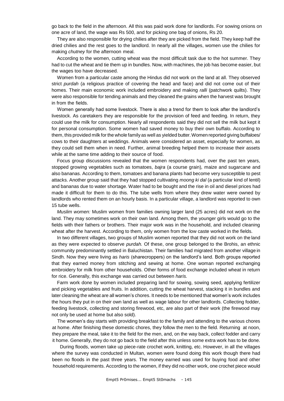go back to the field in the afternoon. All this was paid work done for landlords. For sowing onions on one acre of land, the wage was Rs 500, and for picking one bag of onions, Rs 20.

They are also responsible for drying chilies after they are picked from the field. They keep half the dried chilies and the rest goes to the landlord. In nearly all the villages, women use the chilies for making *chutney* for the afternoon meal.

According to the women, cutting wheat was the most difficult task due to the hot summer. They had to cut the wheat and tie them up in bundles. Now, with machines, the job has become easier, but the wages too have decreased.

Women from a particular caste among the Hindus did not work on the land at all. They observed strict *purdah* (a religious practice of covering the head and face) and did not come out of their homes. Their main economic work included embroidery and making *ralli* (patchwork quilts). They were also responsible for tending animals and they cleaned the grains when the harvest was brought in from the fields.

Women generally had some livestock. There is also a trend for them to look after the landlord's livestock. As caretakers they are responsible for the provision of feed and feeding. In return, they could use the milk for consumption. Nearly all respondents said they did not sell the milk but kept it for personal consumption. Some women had saved money to buy their own buffalo. According to them, this provided milk for the whole family as well as yielded butter.Women reported giving buffaloes/ cows to their daughters at weddings. Animals were considered an asset, especially for women, as they could sell them when in need. Further, animal breeding helped them to increase their assets while at the same time adding to their source of food.

Focus group discussions revealed that the women respondents had, over the past ten years, stopped growing vegetables such as tomatoes, *bajra* (a course grain)*,* maize and sugarcane and also bananas. According to them, tomatoes and banana plants had become very susceptible to pest attacks. Another group said that they had stopped cultivating *moong ki dal* (a particular kind of lentil) and bananas due to water shortage. Water had to be bought and the rise in oil and diesel prices had made it difficult for them to do this. The tube wells from where they drew water were owned by landlords who rented them on an hourly basis. In a particular village, a landlord was reported to own 15 tube wells.

*Muslim women:* Muslim women from families owning larger land (25 acres) did not work on the land. They may sometimes work on their own land. Among them, the younger girls would go to the fields with their fathers or brothers. Their major work was in the household, and included cleaning wheat after the harvest. According to them, only women from the low caste worked in the fields.

In two different villages, two groups of Muslim women reported that they did not work on the land as they were expected to observe *purdah.* Of these, one group belonged to the Brohis, an ethnic community predominantly settled in Baluchistan. Their families had migrated from another village in Sindh. Now they were living as *haris* (sharecroppers) on the landlord's land. Both groups reported that they earned money from stitching and sewing at home. One woman reported exchanging embroidery for milk from other households. Other forms of food exchange included wheat in return for rice. Generally, this exchange was carried out between *haris.*

Farm work done by women included preparing land for sowing, sowing seed, applying fertilizer and picking vegetables and fruits. In addition, cutting the wheat harvest, stacking it in bundles and later cleaning the wheat are all women's chores. It needs to be mentioned that women's work includes the hours they put in on their own land as well as wage labour for other landlords. Collecting fodder, feeding livestock, collecting and storing firewood, etc, are also part of their work (the firewood may not only be used at home but also sold).

The women's day starts with providing breakfast to the family and attending to the various chores at home. After finishing these domestic chores, they follow the men to the field. Returning at noon, they prepare the meal, take it to the field for the men, and, on the way back, collect fodder and carry it home. Generally, they do not go back to the field after this unless some extra work has to be done.

During floods, women take up piece-rate crochet work, knitting, etc. However, in all the villages where the survey was conducted in Multan, women were found doing this work though there had been no floods in the past three years. The money earned was used for buying food and other household requirements. According to the women, if they did no other work, one crochet piece would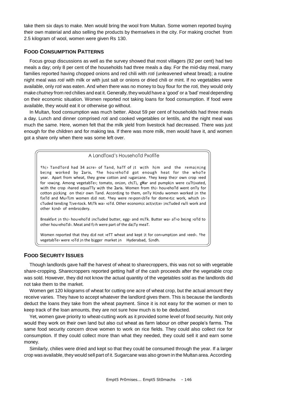take them six days to make. Men would bring the wool from Multan. Some women reported buying their own material and also selling the products by themselves in the city. For making crochet from 2.5 kilogram of wool, women were given Rs 130.

# **FOOD CONSUMPTION PATTERNS**

Focus group discussions as well as the survey showed that most villagers (92 per cent) had two meals a day; only 8 per cent of the households had three meals a day. For the mid-day meal, many families reported having chopped onions and red chili with *roti* (unleavened wheat bread); a routine night meal was *roti* with milk or with just salt or onions or dried chili or mint. If no vegetables were available, only *roti* was eaten. And when there was no money to buy flour for the *roti,* they would only make *chutney* from red chilies and eat it. Generally, they would have a 'good' or a 'bad' meal depending on their economic situation. Women reported not taking loans for food consumption. If food were available, they would eat it or otherwise go without.

In Multan, food consumption was much better. About 59 per cent of households had three meals a day. Lunch and dinner comprised *roti* and cooked vegetables or lentils, and the night meal was much the same. Here, women felt that the milk yield from livestock had decreased. There was just enough for the children and for making tea. If there was more milk, men would have it, and women got a share only when there was some left over.

# A LandToxd's HousehoTd PxofiTe

†h¡› TandTord had 34 acre› of Tand, haTf of ¡t w¡th h¡m and the rema¡n¡ng being worked by 2aris, the hou>ehoTd got enough heat for the whoTe year. Apart from wheat, they grew cotton and >ugarcane. They keep their own crop >eed for >owing. Among vegetabTe>; tomato, onjon, chiTi, g¥ar and pumpkin were cuTtivated, with the crop >hared equaTTy with the 2aris. Women from thi> hou>ehoTd went onTy for cotton picking on their own Tand. According to them, onTy Hindu women worked in the fieTd and Mu>Tim women did not. they were re>pon>ibTe for dome>tic work, which incTuded tending Tive>tock. MiTk wa> >oTd. Other economic activitie> incTuded ra//i work and other kind<sup>y</sup> of embrojdery.

Breakfa>t in thi> hou>ehoTd incTuded butter, egg> and mjTk. Butter wa> aT>o being >oTd to other hou›ehoTd›. Meat and f¡›h were part of the da¡Ty meaT.

Women reported that they did not >eTT wheat and kept it for con>umption and >eed>. the vegetabTe> were >oTd in the bigger market in Hyderabad, Sindh.

# **FOOD SECURITY ISSUES**

Though landlords gave half the harvest of wheat to sharecroppers, this was not so with vegetable share-cropping. Sharecroppers reported getting half of the cash proceeds after the vegetable crop was sold. However, they did not know the actual quantity of the vegetables sold as the landlords did not take them to the market.

Women get 120 kilograms of wheat for cutting one acre of wheat crop, but the actual amount they receive varies. They have to accept whatever the landlord gives them. This is because the landlords deduct the loans they take from the wheat payment. Since it is not easy for the women or men to keep track of the loan amounts, they are not sure how much is to be deducted.

Yet, women gave priority to wheat-cutting work as it provided some level of food security. Not only would they work on their own land but also cut wheat as farm labour on other people's farms. The same food security concern drove women to work on rice fields. They could also collect rice for consumption. If they could collect more than what they needed, they could sell it and earn some money.

Similarly, chilies were dried and kept so that they could be consumed through the year. If a larger crop was available, they would sell part of it. Sugarcane was also grown in the Multan area. According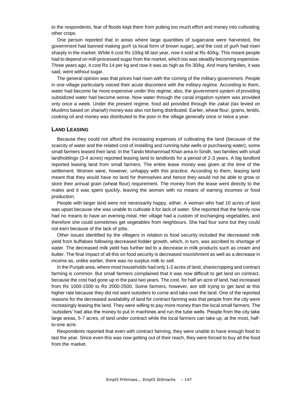to the respondents, fear of floods kept them from putting too much effort and money into cultivating other crops.

One person reported that in areas where large quantities of sugarcane were harvested, the government had banned making *gurh* (a local form of brown sugar), and the cost of *gurh* had risen sharply in the market. While it cost Rs 10/kg till last year, now it sold at Rs 40/kg. This meant people had to depend on mill-processed sugar from the market, which too was steadily becoming expensive. Three years ago, it cost Rs 14 per kg and now it was as high as Rs 30/kg. And many families, it was said, went without sugar.

The general opinion was that prices had risen with the coming of the military government. People in one village particularly voiced their acute discontent with the military regime. According to them, water had become far more expensive under this regime; also, the government system of providing subsidized water had become worse. Now water through the canal irrigation system was provided only once a week. Under the present regime, food aid provided through the *zakat* (tax levied on Muslims based on *shariah*) money was also not being distributed. Earlier, wheat flour, grains, lentils, cooking oil and money was distributed to the poor in the village generally once or twice a year.

### **LAND LEASING**

Because they could not afford the increasing expenses of cultivating the land (because of the scarcity of water and the related cost of installing and running tube wells or purchasing water), some small farmers leased their land. In the Tando Mohammad Khan area in Sindh, two families with small landholdings (3-4 acres) reported leasing land to landlords for a period of 2-3 years. A big landlord reported leasing land from small farmers. The entire lease money was given at the time of the settlement. Women were, however, unhappy with this practice. According to them, leasing land meant that they would have no land for themselves and hence they would not be able to grow or store their annual grain (wheat flour) requirement*.* The money from the lease went directly to the males and it was spent quickly, leaving the women with no means of earning incomes or food production.

People with larger land were not necessarily happy, either. A woman who had 10 acres of land was upset because she was unable to cultivate it for lack of water. She reported that the family now had no means to have an evening meal. Her village had a custom of exchanging vegetables, and therefore she could sometimes get vegetables from neighbours. She had four sons but they could not earn because of the lack of jobs.

Other issues identified by the villagers in relation to food security included the decreased milk yield from buffaloes following decreased fodder growth, which, in turn, was ascribed to shortage of water. The decreased milk yield has further led to a decrease in milk products such as cream and butter. The final impact of all this on food security is decreased nourishment as well as a decrease in income as, unlike earlier, there was no surplus milk to sell.

In the Punjab area, where most households had only 1-2 acres of land, sharecropping and contract farming is common. But small farmers complained that it was now difficult to get land on contract, because the cost had gone up in the past two years. The cost, for half an acre of land, had increased from Rs 1000-1500 to Rs 2000-2500. Some farmers, however, are still trying to get land at this higher rate because they did not want outsiders to come and take over the land. One of the reported reasons for the decreased availability of land for contract farming was that people from the city were increasingly leasing the land. They were willing to pay more money than the local small farmers. The 'outsiders' had also the money to put in machines and run the tube wells. People from the city take large areas, 5-7 acres, of land under contract while the local farmers can take up, at the most, halfto-one acre.

Respondents reported that even with contract farming, they were unable to have enough food to last the year. Since even this was now getting out of their reach, they were forced to buy all the food from the market.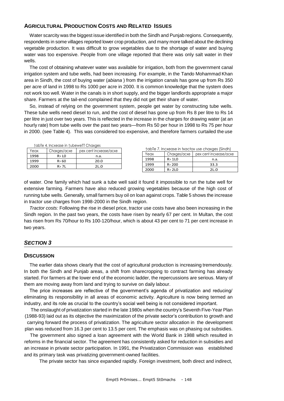# **AGRICULTURAL PRODUCTION COSTS AND RELATED ISSUES**

Water scarcity was the biggest issue identified in both the Sindh and Punjab regions. Consequently, respondents in some villages reported lower crop production, and many more talked about the declining vegetable production. It was difficult to grow vegetables due to the shortage of water and buying water was too expensive. People from one village reported that there was only salt water in their wells.

The cost of obtaining whatever water was available for irrigation, both from the government canal irrigation system and tube wells, had been increasing. For example, in the Tando Mohammad Khan area in Sindh, the cost of buying water (*abiana* ) from the irrigation canals has gone up from Rs 350 per acre of land in 1998 to Rs 1000 per acre in 2000. It is common knowledge that the system does not work too well. Water in the canals is in short supply, and the bigger landlords appropriate a major share. Farmers at the tail-end complained that they did not get their share of water.

So, instead of relying on the government system, people get water by constructing tube wells. These tube wells need diesel to run, and the cost of diesel has gone up from Rs 8 per litre to Rs 14 per litre in just over two years. This is reflected in the increase in the charges for drawing water (at an hourly rate) from tube wells over the past two years—from Rs 50 per hour in 1998 to Rs 75 per hour in 2000. (see Table 4). This was considered too expensive, and therefore farmers curtailed the use

| table 4. Incxease in tubewell Chaxges |        |                        |  |  |
|---------------------------------------|--------|------------------------|--|--|
| Chaxges/acxe<br>Yeax                  |        | pex cent incxease/acxe |  |  |
| 1998                                  | R > L0 | n.a.                   |  |  |
| 1999                                  | $R$ 60 | 20.0                   |  |  |
| 2000                                  | $R$ 7L | 21.O                   |  |  |

| table 7. Incxease in txactox use chaxges (Sindh) |              |                        |  |  |
|--------------------------------------------------|--------------|------------------------|--|--|
| Yeax                                             | Chaxges/acxe | pex cent incxease/acxe |  |  |
| 1998                                             | $R$ 1L0      | n.a.                   |  |  |
| 1999                                             | $R$ 200      | 33.3                   |  |  |
| 2000                                             | $R$ 2L0      | 21.O                   |  |  |

of water. One family which had sunk a tube well said it found it impossible to run the tube well for extensive farming. Farmers have also reduced growing vegetables because of the high cost of running tube wells. Generally, small farmers buy oil on loan against crops. Table 5 shows the increase in tractor use charges from 1998-2000 in the Sindh region.

*Tractor costs:* Following the rise in diesel price, tractor use costs have also been increasing in the Sindh region. In the past two years, the costs have risen by nearly 67 per cent. In Multan, the cost has risen from Rs 70/hour to Rs 100-120/hour, which is about 43 per cent to 71 per cent increase in two years.

# *SECTION 3*

# **DISCUSSION**

The earlier data shows clearly that the cost of agricultural production is increasing tremendously. In both the Sindh and Punjab areas, a shift from sharecropping to contract farming has already started. For farmers at the lower end of the economic ladder, the repercussions are serious. Many of them are moving away from land and trying to survive on daily labour.

The price increases are reflective of the government's agenda of privatization and reducing/ eliminating its responsibility in all areas of economic activity. Agriculture is now being termed an industry, and its role as crucial to the country's social well being is not considered important.

The onslaught of privatization started in the late 1980s when the country's Seventh Five-Year Plan (1988-93) laid out as its objective the maximization of the private sector's contribution to growth and carrying forward the process of privatization. The agriculture sector allocation in the development plan was reduced from 16.3 per cent to 13.5 per cent. The emphasis was on phasing out subsidies.

The government also signed a loan agreement with the World Bank in 1988 which resulted in reforms in the financial sector. The agreement has consistently asked for reduction in subsidies and an increase in private sector participation. In 1991, the Privatization Commission was established and its primary task was privatizing government-owned facilities.

The private sector has since expanded rapidly. Foreign investment, both direct and indirect,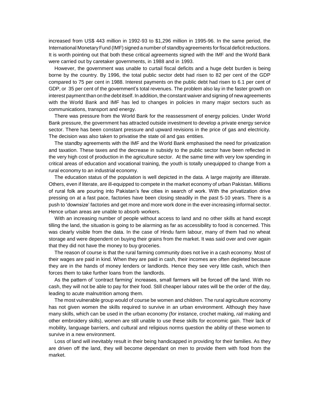increased from US\$ 443 million in 1992-93 to \$1,296 million in 1995-96. In the same period, the International Monetary Fund (IMF) signed a number of standby agreements for fiscal deficit reductions. It is worth pointing out that both these critical agreements signed with the IMF and the World Bank were carried out by caretaker governments, in 1988 and in 1993.

However, the government was unable to curtail fiscal deficits and a huge debt burden is being borne by the country. By 1996, the total public sector debt had risen to 82 per cent of the GDP compared to 75 per cent in 1988. Interest payments on the public debt had risen to 6.1 per cent of GDP, or 35 per cent of the government's total revenues. The problem also lay in the faster growth on interest payment than on the debt itself. In addition, the constant waiver and signing of new agreements with the World Bank and IMF has led to changes in policies in many major sectors such as communications, transport and energy.

There was pressure from the World Bank for the reassessment of energy policies. Under World Bank pressure, the government has attracted outside investment to develop a private energy service sector. There has been constant pressure and upward revisions in the price of gas and electricity. The decision was also taken to privatise the state oil and gas entities.

The standby agreements with the IMF and the World Bank emphasised the need for privatization and taxation. These taxes and the decrease in subsidy to the public sector have been reflected in the very high cost of production in the agriculture sector. At the same time with very low spending in critical areas of education and vocational training, the youth is totally unequipped to change from a rural economy to an industrial economy.

The education status of the population is well depicted in the data. A large majority are illiterate. Others, even if literate, are ill-equipped to compete in the market economy of urban Pakistan. Millions of rural folk are pouring into Pakistan's few cities in search of work. With the privatization drive pressing on at a fast pace, factories have been closing steadily in the past 5-10 years. There is a push to 'downsize' factories and get more and more work done in the ever-increasing informal sector. Hence urban areas are unable to absorb workers.

With an increasing number of people without access to land and no other skills at hand except tilling the land, the situation is going to be alarming as far as accessibility to food is concerned. This was clearly visible from the data. In the case of Hindu farm labour, many of them had no wheat storage and were dependent on buying their grains from the market. It was said over and over again that they did not have the money to buy groceries.

The reason of course is that the rural farming community does not live in a cash economy. Most of their wages are paid in kind. When they are paid in cash, their incomes are often depleted because they are in the hands of money lenders or landlords. Hence they see very little cash, which then forces them to take further loans from the landlords.

As the pattern of 'contract farming' increases, small farmers will be forced off the land. With no cash, they will not be able to pay for their food. Still cheaper labour rates will be the order of the day, leading to acute malnutrition among them.

The most vulnerable group would of course be women and children. The rural agriculture economy has not given women the skills required to survive in an urban environment. Although they have many skills, which can be used in the urban economy (for instance, crochet making, *rali* making and other embroidery skills), women are still unable to use these skills for economic gain. Their lack of mobility, language barriers, and cultural and religious norms question the ability of these women to survive in a new environment.

Loss of land will inevitably result in their being handicapped in providing for their families. As they are driven off the land, they will become dependant on men to provide them with food from the market.